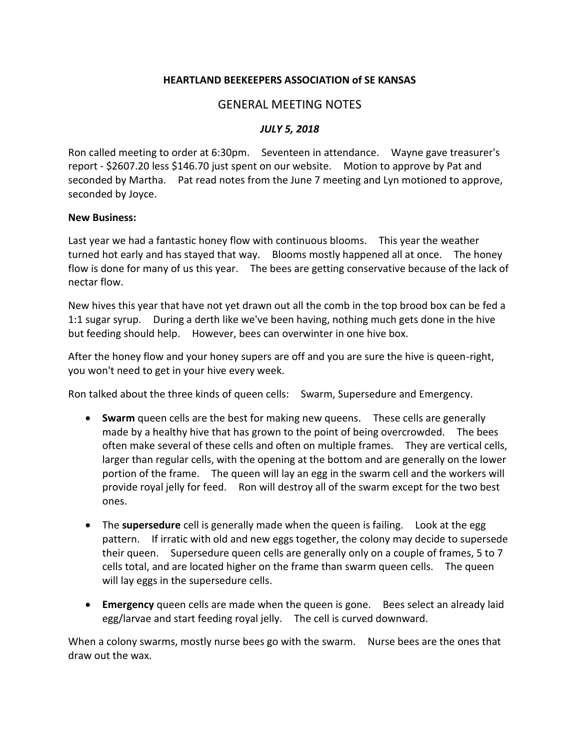## **HEARTLAND BEEKEEPERS ASSOCIATION of SE KANSAS**

## GENERAL MEETING NOTES

## *JULY 5, 2018*

Ron called meeting to order at 6:30pm. Seventeen in attendance. Wayne gave treasurer's report - \$2607.20 less \$146.70 just spent on our website. Motion to approve by Pat and seconded by Martha. Pat read notes from the June 7 meeting and Lyn motioned to approve, seconded by Joyce.

## **New Business:**

Last year we had a fantastic honey flow with continuous blooms. This year the weather turned hot early and has stayed that way. Blooms mostly happened all at once. The honey flow is done for many of us this year. The bees are getting conservative because of the lack of nectar flow.

New hives this year that have not yet drawn out all the comb in the top brood box can be fed a 1:1 sugar syrup. During a derth like we've been having, nothing much gets done in the hive but feeding should help. However, bees can overwinter in one hive box.

After the honey flow and your honey supers are off and you are sure the hive is queen-right, you won't need to get in your hive every week.

Ron talked about the three kinds of queen cells: Swarm, Supersedure and Emergency.

- **Swarm** queen cells are the best for making new queens. These cells are generally made by a healthy hive that has grown to the point of being overcrowded. The bees often make several of these cells and often on multiple frames. They are vertical cells, larger than regular cells, with the opening at the bottom and are generally on the lower portion of the frame. The queen will lay an egg in the swarm cell and the workers will provide royal jelly for feed. Ron will destroy all of the swarm except for the two best ones.
- The **supersedure** cell is generally made when the queen is failing. Look at the egg pattern. If irratic with old and new eggs together, the colony may decide to supersede their queen. Supersedure queen cells are generally only on a couple of frames, 5 to 7 cells total, and are located higher on the frame than swarm queen cells. The queen will lay eggs in the supersedure cells.
- **Emergency** queen cells are made when the queen is gone. Bees select an already laid egg/larvae and start feeding royal jelly. The cell is curved downward.

When a colony swarms, mostly nurse bees go with the swarm. Nurse bees are the ones that draw out the wax.